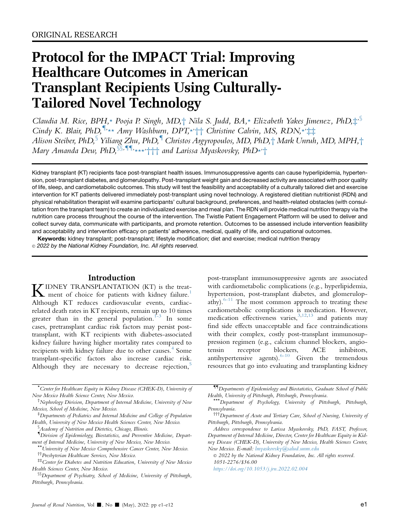# Protocol for the IMPACT Trial: Improving Healthcare Outcomes in American Transplant Recipients Using Culturally-Tailored Novel Technology

Claudia M. Rice, BPH,\* Pooja P. Singh, MD,† Nila S. Judd, BA,\* Elizabeth Yakes Jimenez, PhD, $\ddagger$ , § Cindy K. Blair, PhD,  $\sqrt[n]{* \star A}$ my Washburn, DPT, $\overleftrightarrow{+ \uparrow}$  Christine Calvin, MS, RDN, $\overleftrightarrow{+ \downarrow}$ Alison Steiber, PhD, Yiliang Zhu, PhD, Christos Argyropoulos, MD, PhD, + Mark Unruh, MD, MPH, + Mary Amanda Dew, PhD, <sup>§§,¶¶,</sup>\*\*\*, ††† and Larissa Myaskovsky, PhD\*'†

Kidney transplant (KT) recipients face post-transplant health issues. Immunosuppressive agents can cause hyperlipidemia, hypertension, post-transplant diabetes, and glomerulopathy. Post-transplant weight gain and decreased activity are associated with poor quality of life, sleep, and cardiometabolic outcomes. This study will test the feasibility and acceptability of a culturally tailored diet and exercise intervention for KT patients delivered immediately post-transplant using novel technology. A registered dietitian nutritionist (RDN) and physical rehabilitation therapist will examine participants' cultural background, preferences, and health-related obstacles (with consultation from the transplant team) to create an individualized exercise and meal plan. The RDN will provide medical nutrition therapy via the nutrition care process throughout the course of the intervention. The Twistle Patient Engagement Platform will be used to deliver and collect survey data, communicate with participants, and promote retention. Outcomes to be assessed include intervention feasibility and acceptability and intervention efficacy on patients' adherence, medical, quality of life, and occupational outcomes.

Keywords: kidney transplant; post-transplant; lifestyle modification; diet and exercise; medical nutrition therapy

*2022 by the National Kidney Foundation, Inc. All rights reserved.*

# Introduction

**KIDNEY TRANSPLANTATION (KT)** is the treat[-](#page-9-0)Although KT reduces cardiovascular events, cardiacrelated death rates in KT recipients, remain up to 10 times greater than in the general population.<sup>[1-3](#page-9-0)</sup> In some cases, pretransplant cardiac risk factors may persist posttransplant, with KT recipients with diabetes-associated kidney failure having higher mortality rates compared to recipients with kidney failure due to other causes.<sup>[4](#page-9-1)</sup> Some transplant-specific factors also increase cardiac risk. Although they are necessary to decrease rejection, $5$ 

\* Center for Healthcare Equity in Kidney Disease (CHEK-D), University of New Mexico Health Science Center, New Mexico.

‡ Departments of Pediatrics and Internal Medicine and College of Population Health, University of New Mexico Health Sciences Center, New Mexico.

§ Academy of Nutrition and Dietetics, Chicago, Illinois.

- { Division of Epidemiology, Biostatistics, and Preventive Medicine, Department of Internal Medicine, University of New Mexico, New Mexico.<br>\*\*University of New Mexico Comprehensive Cancer Center, New Mexico.
- ††Presbyterian Healthcare Services, New Mexico.

post-transplant immunosuppressive agents are associated with cardiometabolic complications (e.g., hyperlipidemia, hypertension, post-transplant diabetes, and glomerulopathy). $6-11$  The most common approach to treating these cardiometabolic complications is medication. However, medication effectiveness varies,  $3,12,13$  $3,12,13$  $3,12,13$  and patients may find side effects unacceptable and face contraindications with their complex, costly post-transplant immunosuppression regimen (e.g., calcium channel blockers, angiotensin receptor blockers, ACE inhibitors, antihypertensive agents).  $6-10$  Given the tremendous resources that go into evaluating and transplanting kidney

{{Departments of Epidemiology and Biostatistics, Graduate School of Public Health, University of Pittsburgh, Pittsburgh, Pennsylvania. \*\*\*Department of Psychology, University of Pittsburgh, Pittsburgh,

Pennsylvania.

 $\odot$  2022 by the National Kidney Foundation, Inc. All rights reserved. 1051-2276/\$36.00

<https://doi.org/10.1053/j.jrn.2022.02.004>

<sup>†</sup> Nephrology Division, Department of Internal Medicine, University of New Mexico, School of Medicine, New Mexico.

<sup>‡‡</sup>Center for Diabetes and Nutrition Education, University of New Mexico Health Sciences Center, New Mexico.

<sup>§§</sup>Department of Psychiatry, School of Medicine, University of Pittsburgh, Pittsburgh, Pennsylvania.

<sup>†††</sup>Department of Acute and Tertiary Care, School of Nursing, University of Pittsburgh, Pittsburgh, Pennsylvania.

Address correspondence to Larissa Myaskovsky, PhD, FAST, Professor, Department of Internal Medicine, Director, Center for Healthcare Equity in Kidney Disease (CHEK-D), University of New Mexico, Health Sciences Center, New Mexico. E-mail: lmyaskovsky@salud.unm.edu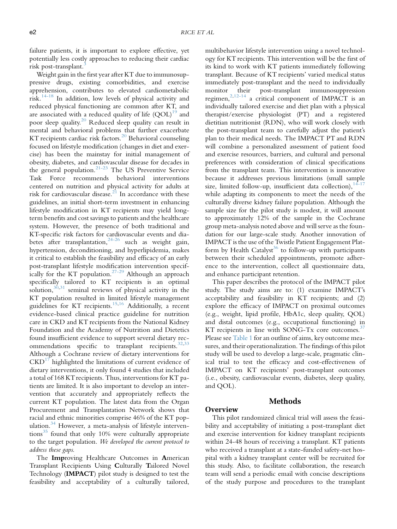failure patients, it is important to explore effective, yet potentially less costly approaches to reducing their cardiac risk post-transplant[.3](#page-9-4)

Weight gain in the first year after KT due to immunosuppressive drugs, existing comorbidities, and exercise apprehension, contributes to elevated cardiometabolic risk. $14-18$  In addition, low levels of physical activity and reduced physical functioning are common after KT, and are associated with a reduced quality of life  $(QOL)^{19}$  and poor sleep quality.[20](#page-9-9) Reduced sleep quality can result in mental and behavioral problems that further exacerbate KT recipients cardiac risk factors.<sup>[20](#page-9-9)</sup> Behavioral counseling focused on lifestyle modification (changes in diet and exercise) has been the mainstay for initial management of obesity, diabetes, and cardiovascular disease for decades in the general population. $21-23$  The US Preventive Service Task Force recommends behavioral interventions centered on nutrition and physical activity for adults at risk for cardiovascular disease.<sup>[21](#page-9-10)</sup> In accordance with these guidelines, an initial short-term investment in enhancing lifestyle modification in KT recipients may yield longterm benefits and cost savings to patients and the healthcare system. However, the presence of both traditional and KT-specific risk factors for cardiovascular events and diabetes after transplantation,  $24-26$  such as weight gain, hypertension, deconditioning, and hyperlipidemia, makes it critical to establish the feasibility and efficacy of an early post-transplant lifestyle modification intervention specif-ically for the KT population.<sup>[27-29](#page-9-12)</sup> Although an approach specifically tailored to KT recipients is an optimal solution,  $3^{0,31}$  $3^{0,31}$  $3^{0,31}$  seminal reviews of physical activity in the KT population resulted in limited lifestyle management guidelines for KT recipients.[15,](#page-9-15)[16](#page-9-16) Additionally, a recent evidence-based clinical practice guideline for nutrition care in CKD and KT recipients from the National Kidney Foundation and the Academy of Nutrition and Dietetics found insufficient evidence to support several dietary rec-ommendations specific to transplant recipients.<sup>[32](#page-9-17)[,33](#page-9-18)</sup> Although a Cochrane review of dietary interventions for  $CKD<sup>17</sup>$  $CKD<sup>17</sup>$  $CKD<sup>17</sup>$  highlighted the limitations of current evidence of dietary interventions, it only found 4 studies that included a total of 168 KT recipients. Thus, interventions for KT patients are limited. It is also important to develop an intervention that accurately and appropriately reflects the current KT population. The latest data from the Organ Procurement and Transplantation Network shows that racial and ethnic minorities comprise 46% of the KT pop-ulation.<sup>[34](#page-9-20)</sup> However, a meta-analysis of lifestyle interventions $35$  found that only 10% were culturally appropriate to the target population. We developed the current protocol to address these gaps.

The Improving Healthcare Outcomes in American Transplant Recipients Using Culturally Tailored Novel Technology (IMPACT) pilot study is designed to test the feasibility and acceptability of a culturally tailored,

multibehavior lifestyle intervention using a novel technology for KT recipients. This intervention will be the first of its kind to work with KT patients immediately following transplant. Because of KT recipients' varied medical status immediately post-transplant and the need to individually monitor their post-transplant immunosuppression regimen, $^{2,12-14}$  $^{2,12-14}$  $^{2,12-14}$  $^{2,12-14}$  a critical component of IMPACT is an individually tailored exercise and diet plan with a physical therapist/exercise physiologist (PT) and a registered dietitian nutritionist (RDN), who will work closely with the post-transplant team to carefully adjust the patient's plan to their medical needs. The IMPACT PT and RDN will combine a personalized assessment of patient food and exercise resources, barriers, and cultural and personal preferences with consideration of clinical specifications from the transplant team. This intervention is innovative because it addresses previous limitations (small sample size, limited follow-up, insufficient data collection),  $14-17$ while adapting its components to meet the needs of the culturally diverse kidney failure population. Although the sample size for the pilot study is modest, it will amount to approximately 12% of the sample in the Cochrane group meta-analysis noted above and will serve as the foundation for our large-scale study. Another innovation of IMPACT is the use of the Twistle Patient Engagement Plat-form by Health Catalyst<sup>[36](#page-10-0)</sup> to follow-up with participants between their scheduled appointments, promote adherence to the intervention, collect all questionnaire data, and enhance participant retention.

This paper describes the protocol of the IMPACT pilot study. The study aims are to: (1) examine IMPACT's acceptability and feasibility in KT recipients; and (2) explore the efficacy of IMPACT on proximal outcomes (e.g., weight, lipid profile, HbA1c, sleep quality, QOL) and distal outcomes (e.g., occupational functioning) in KT recipients in line with SONG-Tx core outcomes. $37$ Please see [Table 1](#page-2-0) for an outline of aims, key outcome measures, and their operationalization. The findings of this pilot study will be used to develop a large-scale, pragmatic clinical trial to test the efficacy and cost-effectiveness of IMPACT on KT recipients' post-transplant outcomes (i.e., obesity, cardiovascular events, diabetes, sleep quality, and QOL).

# Methods

## **Overview**

This pilot randomized clinical trial will assess the feasibility and acceptability of initiating a post-transplant diet and exercise intervention for kidney transplant recipients within 24-48 hours of receiving a transplant. KT patients who received a transplant at a state-funded safety-net hospital with a kidney transplant center will be recruited for this study. Also, to facilitate collaboration, the research team will send a periodic email with concise descriptions of the study purpose and procedures to the transplant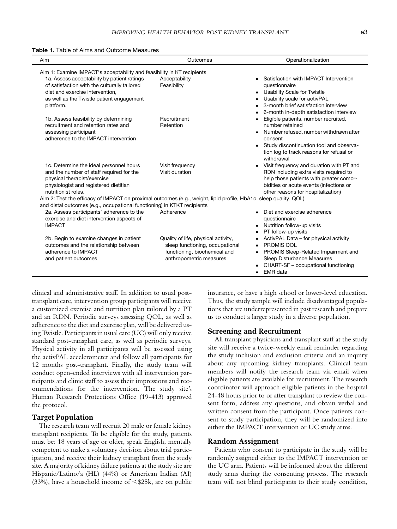<span id="page-2-0"></span>

| Aim                                                                                                                                                                                                                                                                                                    | Outcomes                                                                                                                          | Operationalization                                                                                                                                                                                                  |  |  |  |  |  |  |  |
|--------------------------------------------------------------------------------------------------------------------------------------------------------------------------------------------------------------------------------------------------------------------------------------------------------|-----------------------------------------------------------------------------------------------------------------------------------|---------------------------------------------------------------------------------------------------------------------------------------------------------------------------------------------------------------------|--|--|--|--|--|--|--|
| Aim 1: Examine IMPACT's acceptability and feasibility in KT recipients                                                                                                                                                                                                                                 |                                                                                                                                   |                                                                                                                                                                                                                     |  |  |  |  |  |  |  |
| 1a. Assess acceptability by patient ratings<br>of satisfaction with the culturally tailored<br>diet and exercise intervention,<br>as well as the Twistle patient engagement<br>platform.                                                                                                               | Acceptability<br>Feasibility                                                                                                      | Satisfaction with IMPACT Intervention<br>questionnaire<br>• Usability Scale for Twistle<br>Usability scale for activPAL<br>3-month brief satisfaction interview<br>6-month in-depth satisfaction interview          |  |  |  |  |  |  |  |
| 1b. Assess feasibility by determining<br>recruitment and retention rates and<br>assessing participant<br>adherence to the IMPACT intervention                                                                                                                                                          | Recruitment<br>Retention                                                                                                          | Eligible patients, number recruited,<br>number retained<br>Number refused, number withdrawn after<br>consent<br>• Study discontinuation tool and observa-<br>tion log to track reasons for refusal or<br>withdrawal |  |  |  |  |  |  |  |
| 1c. Determine the ideal personnel hours<br>and the number of staff required for the<br>physical therapist/exercise<br>physiologist and registered dietitian<br>nutritionist roles.<br>Aim 2: Test the efficacy of IMPACT on proximal outcomes (e.g., weight, lipid profile, HbA1c, sleep quality, QOL) | Visit frequency<br>Visit duration                                                                                                 | Visit frequency and duration with PT and<br>RDN including extra visits required to<br>help those patients with greater comor-<br>bidities or acute events (infections or<br>other reasons for hospitalization)      |  |  |  |  |  |  |  |
| and distal outcomes (e.g., occupational functioning) in KTKT recipients<br>2a. Assess participants' adherence to the<br>exercise and diet intervention aspects of<br><b>IMPACT</b>                                                                                                                     | Adherence                                                                                                                         | Diet and exercise adherence<br>questionnaire<br>Nutrition follow-up visits<br>$\bullet$<br>PT follow-up visits                                                                                                      |  |  |  |  |  |  |  |
| 2b. Begin to examine changes in patient<br>outcomes and the relationship between<br>adherence to IMPACT<br>and patient outcomes                                                                                                                                                                        | Quality of life, physical activity,<br>sleep functioning, occupational<br>functioning, biochemical and<br>anthropometric measures | ActivPAL Data - for physical activity<br>PROMIS QOL<br>$\bullet$<br>PROMIS Sleep-Related Impairment and<br>Sleep Disturbance Measures<br>CHART-SF – occupational functioning<br>$\bullet$ EMR data                  |  |  |  |  |  |  |  |

clinical and administrative staff. In addition to usual posttransplant care, intervention group participants will receive a customized exercise and nutrition plan tailored by a PT and an RDN. Periodic surveys assessing QOL, as well as adherence to the diet and exercise plan, will be delivered using Twistle. Participants in usual care (UC) will only receive standard post-transplant care, as well as periodic surveys. Physical activity in all participants will be assessed using the activPAL accelerometer and follow all participants for 12 months post-transplant. Finally, the study team will conduct open-ended interviews with all intervention participants and clinic staff to assess their impressions and recommendations for the intervention. The study site's Human Research Protections Office (19-413) approved the protocol.

#### Target Population

The research team will recruit 20 male or female kidney transplant recipients. To be eligible for the study, patients must be: 18 years of age or older, speak English, mentally competent to make a voluntary decision about trial participation, and receive their kidney transplant from the study site. A majority of kidney failure patients at the study site are Hispanic/Latino/a (HL) (44%) or American Indian (AI) (33%), have a household income of  $\leq$ \$25k, are on public

insurance, or have a high school or lower-level education. Thus, the study sample will include disadvantaged populations that are underrepresented in past research and prepare us to conduct a larger study in a diverse population.

## Screening and Recruitment

All transplant physicians and transplant staff at the study site will receive a twice-weekly email reminder regarding the study inclusion and exclusion criteria and an inquiry about any upcoming kidney transplants. Clinical team members will notify the research team via email when eligible patients are available for recruitment. The research coordinator will approach eligible patients in the hospital 24-48 hours prior to or after transplant to review the consent form, address any questions, and obtain verbal and written consent from the participant. Once patients consent to study participation, they will be randomized into either the IMPACT intervention or UC study arms.

#### Random Assignment

Patients who consent to participate in the study will be randomly assigned either to the IMPACT intervention or the UC arm. Patients will be informed about the different study arms during the consenting process. The research team will not blind participants to their study condition,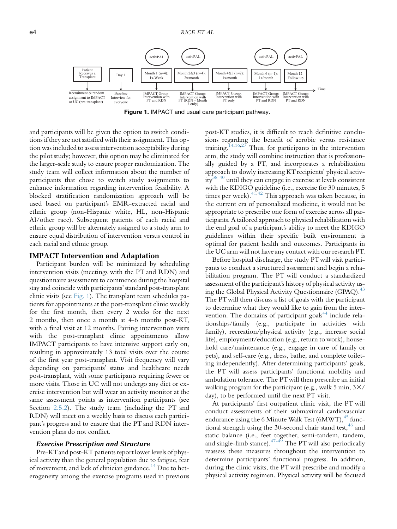<span id="page-3-0"></span>

Figure 1. IMPACT and usual care participant pathway.

and participants will be given the option to switch conditions if they are not satisfied with their assignment. This option was included to assess intervention acceptability during the pilot study; however, this option may be eliminated for the larger-scale study to ensure proper randomization. The study team will collect information about the number of participants that chose to switch study assignments to enhance information regarding intervention feasibility. A blocked stratification randomization approach will be used based on participant's EMR-extracted racial and ethnic group (non-Hispanic white, HL, non-Hispanic AI/other race). Subsequent patients of each racial and ethnic group will be alternately assigned to a study arm to ensure equal distribution of intervention versus control in each racial and ethnic group.

#### IMPACT Intervention and Adaptation

Participant burden will be minimized by scheduling intervention visits (meetings with the PT and RDN) and questionnaire assessments to commence during the hospital stay and coincide with participants' standard post-transplant clinic visits (see [Fig. 1](#page-3-0)). The transplant team schedules patients for appointments at the post-transplant clinic weekly for the first month, then every 2 weeks for the next 2 months, then once a month at 4-6 months post-KT, with a final visit at 12 months. Pairing intervention visits with the post-transplant clinic appointments allow IMPACT participants to have intensive support early on, resulting in approximately 13 total visits over the course of the first year post-transplant. Visit frequency will vary depending on participants' status and healthcare needs post-transplant, with some participants requiring fewer or more visits. Those in UC will not undergo any diet or exercise intervention but will wear an activity monitor at the same assessment points as intervention participants (see Section [2.5.2\)](#page-4-0). The study team (including the PT and RDN) will meet on a weekly basis to discuss each participant's progress and to ensure that the PT and RDN intervention plans do not conflict.

#### Exercise Prescription and Structure

Pre-KTand post-KT patients report lower levels of physical activity than the general population due to fatigue, fear of movement, and lack of clinician guidance.<sup>[14](#page-9-7)</sup> Due to heterogeneity among the exercise programs used in previous

post-KT studies, it is difficult to reach definitive conclusions regarding the benefit of aerobic versus resistance training.<sup>[14](#page-9-7)[,16](#page-9-16)[,27](#page-9-12)</sup> Thus, for participants in the intervention arm, the study will combine instruction that is professionally guided by a PT, and incorporates a rehabilitation approach to slowly increasing KT recipients' physical activ- $i\overline{v}^{38-40}$  $i\overline{v}^{38-40}$  $i\overline{v}^{38-40}$  until they can engage in exercise at levels consistent with the KDIGO guideline (i.e., exercise for 30 minutes, 5 times per week).  $41,42$  $41,42$  $41,42$  This approach was taken because, in the current era of personalized medicine, it would not be appropriate to prescribe one form of exercise across all participants. A tailored approach to physical rehabilitation with the end goal of a participant's ability to meet the KDIGO guidelines within their specific built environment is optimal for patient health and outcomes. Participants in the UC arm will not have any contact with our research PT.

Before hospital discharge, the study PTwill visit participants to conduct a structured assessment and begin a rehabilitation program. The PT will conduct a standardized assessment of the participant's history of physical activity us-ing the Global Physical Activity Questionnaire (GPAQ).<sup>[43](#page-10-5)</sup> The PTwill then discuss a list of goals with the participant to determine what they would like to gain from the inter-vention. The domains of participant goals<sup>[44](#page-10-6)</sup> include relationships/family (e.g., participate in activities with family), recreation/physical activity (e.g., increase social life), employment/education (e.g., return to work), household care/maintenance (e.g., engage in care of family or pets), and self-care (e.g., dress, bathe, and complete toileting independently). After determining participants' goals, the PT will assess participants' functional mobility and ambulation tolerance. The PTwill then prescribe an initial walking program for the participant (e.g., walk 5 min,  $3\times/$ day), to be performed until the next PT visit.

At participants' first outpatient clinic visit, the PT will conduct assessments of their submaximal cardiovascular endurance using the 6 Minute Walk Test (6MWT), $45$  functional strength using the 30-second chair stand test,  $46$  and static balance (i.e., feet together, semi-tandem, tandem, and single-limb stance). $47-49$  The PT will also periodically reassess these measures throughout the intervention to determine participants' functional progress. In addition, during the clinic visits, the PT will prescribe and modify a physical activity regimen. Physical activity will be focused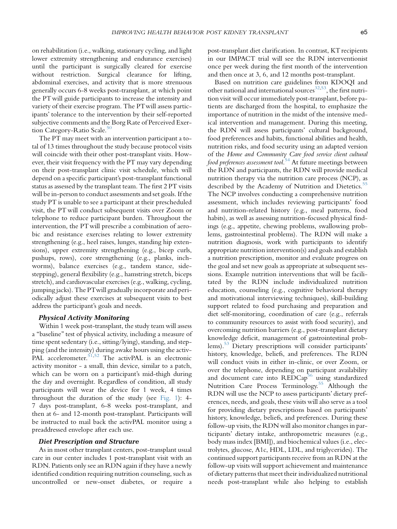on rehabilitation (i.e., walking, stationary cycling, and light lower extremity strengthening and endurance exercises) until the participant is surgically cleared for exercise without restriction. Surgical clearance for lifting, abdominal exercises, and activity that is more strenuous generally occurs 6-8 weeks post-transplant, at which point the PT will guide participants to increase the intensity and variety of their exercise program. The PTwill assess participants' tolerance to the intervention by their self-reported subjective comments and the Borg Rate of Perceived Exer-tion Category-Ratio Scale.<sup>[50](#page-10-10)</sup>

The PT may meet with an intervention participant a total of 13 times throughout the study because protocol visits will coincide with their other post-transplant visits. However, their visit frequency with the PT may vary depending on their post-transplant clinic visit schedule, which will depend on a specific participant's post-transplant functional status as assessed by the transplant team. The first 2 PT visits will be in-person to conduct assessments and set goals. If the study PT is unable to see a participant at their prescheduled visit, the PT will conduct subsequent visits over Zoom or telephone to reduce participant burden. Throughout the intervention, the PTwill prescribe a combination of aerobic and resistance exercises relating to lower extremity strengthening (e.g., heel raises, lunges, standing hip extensions), upper extremity strengthening (e.g., bicep curls, pushups, rows), core strengthening (e.g., planks, inchworms), balance exercises (e.g., tandem stance, sidestepping), general flexibility (e.g., hamstring stretch, biceps stretch), and cardiovascular exercises (e.g., walking, cycling, jumping jacks). The PTwill gradually incorporate and periodically adjust these exercises at subsequent visits to best address the participant's goals and needs.

#### <span id="page-4-0"></span>Physical Activity Monitoring

Within 1 week post-transplant, the study team will assess a ''baseline'' test of physical activity, including a measure of time spent sedentary (i.e., sitting/lying), standing, and stepping (and the intensity) during awake hours using the activ-PAL accelerometer.  $51,52$  $51,52$  The activPAL is an electronic activity monitor - a small, thin device, similar to a patch, which can be worn on a participant's mid-thigh during the day and overnight. Regardless of condition, all study participants will wear the device for 1 week, 4 times throughout the duration of the study (see [Fig. 1](#page-3-0)): 4- 7 days post-transplant, 6-8 weeks post-transplant, and then at 6- and 12-month post-transplant. Participants will be instructed to mail back the activPAL monitor using a preaddressed envelope after each use.

#### Diet Prescription and Structure

As in most other transplant centers, post-transplant usual care in our center includes 1 post-transplant visit with an RDN. Patients only see an RDN again if they have a newly identified condition requiring nutrition counseling, such as uncontrolled or new-onset diabetes, or require a post-transplant diet clarification. In contrast, KT recipients in our IMPACT trial will see the RDN interventionist once per week during the first month of the intervention and then once at 3, 6, and 12 months post-transplant.

Based on nutrition care guidelines from KDOQI and other national and international sources<sup>[32](#page-9-17)[,53](#page-10-13)</sup>, the first nutrition visit will occur immediately post-transplant, before patients are discharged from the hospital, to emphasize the importance of nutrition in the midst of the intensive medical intervention and management. During this meeting, the RDN will assess participants' cultural background, food preferences and habits, functional abilities and health, nutrition risks, and food security using an adapted version of the Home and Community Care food service client cultural food preferences assessment tool.<sup>[54](#page-10-14)</sup> At future meetings between the RDN and participants, the RDN will provide medical nutrition therapy via the nutrition care process (NCP), as described by the Academy of Nutrition and Dietetics.<sup>[55](#page-10-15)</sup> The NCP involves conducting a comprehensive nutrition assessment, which includes reviewing participants' food and nutrition-related history (e.g., meal patterns, food habits), as well as assessing nutrition-focused physical findings (e.g., appetite, chewing problems, swallowing problems, gastrointestinal problems). The RDN will make a nutrition diagnosis, work with participants to identify appropriate nutrition intervention(s) and goals and establish a nutrition prescription, monitor and evaluate progress on the goal and set new goals as appropriate at subsequent sessions. Example nutrition interventions that will be facilitated by the RDN include individualized nutrition education, counseling (e.g., cognitive behavioral therapy and motivational interviewing techniques), skill-building support related to food purchasing and preparation and diet self-monitoring, coordination of care (e.g., referrals to community resources to assist with food security), and overcoming nutrition barriers (e.g., post-transplant dietary knowledge deficit, management of gastrointestinal problems).<sup>53</sup> Dietary prescriptions will consider participants' history, knowledge, beliefs, and preferences. The RDN will conduct visits in either in-clinic, or over Zoom, or over the telephone, depending on participant availability and document care into REDCap<sup>56</sup> using standardized Nutrition Care Process Terminology.<sup>[55](#page-10-15)</sup> Although the RDN will use the NCP to assess participants' dietary preferences, needs, and goals, these visits will also serve as a tool for providing dietary prescriptions based on participants' history, knowledge, beliefs, and preferences. During these follow-up visits, the RDN will also monitor changes in participants' dietary intake, anthropometric measures (e.g., body mass index [BMI]), and biochemical values (i.e., electrolytes, glucose, A1c, HDL, LDL, and triglycerides). The continued support participants receive from an RDN at the follow-up visits will support achievement and maintenance of dietary patterns that meet their individualized nutritional needs post-transplant while also helping to establish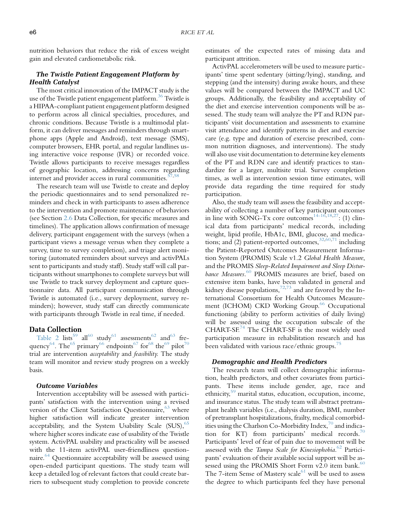nutrition behaviors that reduce the risk of excess weight gain and elevated cardiometabolic risk.

# The Twistle Patient Engagement Platform by Health Catalyst

The most critical innovation of the IMPACT study is the use of the Twistle patient engagement platform.<sup>[36](#page-10-0)</sup> Twistle is a HIPAA-compliant patient engagement platform designed to perform across all clinical specialties, procedures, and chronic conditions. Because Twistle is a multimodal platform, it can deliver messages and reminders through smartphone apps (Apple and Android), text message (SMS), computer browsers, EHR portal, and regular landlines using interactive voice response (IVR) or recorded voice. Twistle allows participants to receive messages regardless of geographic location, addressing concerns regarding internet and provider access in rural communities. $57,58$  $57,58$ 

The research team will use Twistle to create and deploy the periodic questionnaires and to send personalized reminders and check in with participants to assess adherence to the intervention and promote maintenance of behaviors (see Section [2.6](#page-5-0) Data Collection, for specific measures and timelines). The application allows confirmation of message delivery, participant engagement with the surveys (when a participant views a message versus when they complete a survey, time to survey completion), and triage alert monitoring (automated reminders about surveys and activPALs sent to participants and study staff). Study staff will call participants without smartphones to complete surveys but will use Twistle to track survey deployment and capture questionnaire data. All participant communication through Twistle is automated (i.e., survey deployment, survey reminders); however, study staff can directly communicate with participants through Twistle in real time, if needed.

## <span id="page-5-0"></span>Data Collection

[Table 2](#page-6-0) lists<sup>[59](#page-10-19)</sup> all<sup>60</sup> study<sup>[61](#page-10-21)</sup> assessments<sup>62</sup> and<sup>[63](#page-10-23)</sup> fre-quency<sup>64</sup>. The<sup>[65](#page-10-25)</sup> primary<sup>[66](#page-10-26)</sup> endpoints<sup>67</sup> for<sup>[68](#page-10-28)</sup> the<sup>[69](#page-10-29)</sup> pilot<sup>[70](#page-10-30)</sup> trial are intervention acceptability and feasibility. The study team will monitor and review study progress on a weekly basis.

#### Outcome Variables

Intervention acceptability will be assessed with participants' satisfaction with the intervention using a revised version of the Client Satisfaction Questionnaire,  $63$  where higher satisfaction will indicate greater intervention acceptability, and the System Usability Scale  $(SUS)$ ,  $65$ where higher scores indicate ease of usability of the Twistle system. ActivPAL usability and practicality will be assessed with the 11-item activPAL user-friendliness question-naire.<sup>[64](#page-10-24)</sup> Questionnaire acceptability will be assessed using open-ended participant questions. The study team will keep a detailed log of relevant factors that could create barriers to subsequent study completion to provide concrete

estimates of the expected rates of missing data and participant attrition.

ActivPAL accelerometers will be used to measure participants' time spent sedentary (sitting/lying), standing, and stepping (and the intensity) during awake hours, and these values will be compared between the IMPACT and UC groups. Additionally, the feasibility and acceptability of the diet and exercise intervention components will be assessed. The study team will analyze the PT and RDN participants' visit documentation and assessments to examine visit attendance and identify patterns in diet and exercise care (e.g. type and duration of exercise prescribed, common nutrition diagnoses, and interventions). The study will also use visit documentation to determine key elements of the PT and RDN care and identify practices to standardize for a larger, multisite trial. Survey completion times, as well as intervention session time estimates, will provide data regarding the time required for study participation.

Also, the study team will assess the feasibility and acceptability of collecting a number of key participant outcomes in line with SONG-Tx core outcomes<sup>[14-16](#page-9-7)[,18,](#page-9-23)27</sup>: (1) clinical data from participants' medical records, including weight, lipid profile, HbA1c, BMI, glucose, and medications; and (2) patient-reported outcomes,  $32,60,71$  $32,60,71$  $32,60,71$  including the Patient-Reported Outcomes Measurement Information System (PROMIS) Scale v1.2 Global Health Measure, and the PROMIS Sleep-Related Impairment and Sleep Distur-bance Measures.<sup>[60](#page-10-20)</sup> PROMIS measures are brief, based on extensive item banks, have been validated in general and kidney disease populations,<sup>[72](#page-10-32)[,73](#page-10-33)</sup> and are favored by the International Consortium for Health Outcomes Measure-ment (ICHOM) CKD Working Group.<sup>[66](#page-10-26)</sup> Occupational functioning (ability to perform activities of daily living) will be assessed using the occupation subscale of the CHART-SF.[74](#page-10-34) The CHART-SF is the most widely used participation measure in rehabilitation research and has been validated with various race/ethnic groups.<sup>[75](#page-10-35)</sup>

#### Demographic and Health Predictors

The research team will collect demographic information, health predictors, and other covariates from participants. These items include gender, age, race and ethnicity,<sup>[59](#page-10-19)</sup> marital status, education, occupation, income, and insurance status. The study team will abstract pretransplant health variables (i.e., dialysis duration, BMI, number of pretransplant hospitalizations, frailty, medical comorbidities using the Charlson Co-Morbidity Index, $\frac{70}{3}$  $\frac{70}{3}$  $\frac{70}{3}$  and indication for KT) from participants' medical records. $70$ Participants' level of fear of pain due to movement will be assessed with the Tampa Scale for Kinesiophobia.<sup>[62](#page-10-22)</sup> Participants' evaluation of their available social support will be assessed using the PROMIS Short Form  $v2.0$  item bank.<sup>[60](#page-10-20)</sup> The 7-item Sense of Mastery scale $61$  will be used to assess the degree to which participants feel they have personal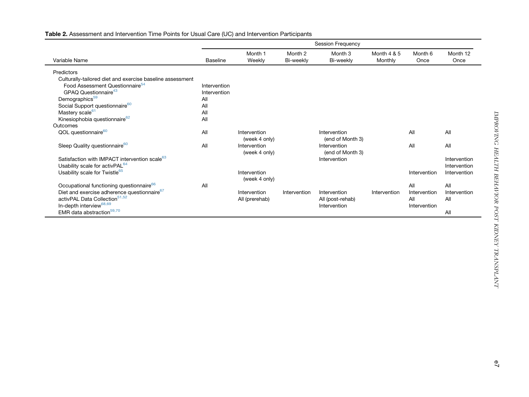|                                                           | <b>Session Frequency</b> |                               |                      |                                  |                        |                 |                  |  |
|-----------------------------------------------------------|--------------------------|-------------------------------|----------------------|----------------------------------|------------------------|-----------------|------------------|--|
| Variable Name                                             | <b>Baseline</b>          | Month 1<br>Weekly             | Month 2<br>Bi-weekly | Month 3<br>Bi-weekly             | Month 4 & 5<br>Monthly | Month 6<br>Once | Month 12<br>Once |  |
| Predictors                                                |                          |                               |                      |                                  |                        |                 |                  |  |
| Culturally-tailored diet and exercise baseline assessment |                          |                               |                      |                                  |                        |                 |                  |  |
| Food Assessment Questionnaire <sup>54</sup>               | Intervention             |                               |                      |                                  |                        |                 |                  |  |
| GPAQ Questionnaire <sup>43</sup>                          | Intervention             |                               |                      |                                  |                        |                 |                  |  |
| Demographics <sup>59</sup>                                | All                      |                               |                      |                                  |                        |                 |                  |  |
| Social Support questionnaire <sup>60</sup>                | All                      |                               |                      |                                  |                        |                 |                  |  |
| Mastery scale <sup>61</sup>                               | All                      |                               |                      |                                  |                        |                 |                  |  |
| Kinesiophobia questionnaire <sup>62</sup>                 | All                      |                               |                      |                                  |                        |                 |                  |  |
| Outcomes                                                  |                          |                               |                      |                                  |                        |                 |                  |  |
| QOL questionnaire <sup>60</sup>                           | All                      | Intervention                  |                      | Intervention                     |                        | All             | All              |  |
|                                                           |                          | (week 4 only)                 |                      | (end of Month 3)                 |                        |                 |                  |  |
| Sleep Quality questionnaire <sup>60</sup>                 | All                      | Intervention<br>(week 4 only) |                      | Intervention<br>(end of Month 3) |                        | All             | All              |  |
| Satisfaction with IMPACT intervention scale <sup>63</sup> |                          |                               |                      | Intervention                     |                        |                 | Intervention     |  |
| Usability scale for activPAL <sup>64</sup>                |                          |                               |                      |                                  |                        |                 | Intervention     |  |
| Usability scale for Twistle <sup>65</sup>                 |                          | Intervention                  |                      |                                  |                        | Intervention    | Intervention     |  |
|                                                           |                          | (week 4 only)                 |                      |                                  |                        |                 |                  |  |
| Occupational functioning questionnaire <sup>66</sup>      | All                      |                               |                      |                                  |                        | All             | All              |  |
| Diet and exercise adherence questionnaire <sup>67</sup>   |                          | Intervention                  | Intervention         | Intervention                     | Intervention           | Intervention    | Intervention     |  |
| activPAL Data Collection <sup>51,52</sup>                 |                          | All (prerehab)                |                      | All (post-rehab)                 |                        | All             | All              |  |
| In-depth interview <sup>68,69</sup>                       |                          |                               |                      | Intervention                     |                        | Intervention    |                  |  |
| EMR data abstraction <sup>59,70</sup>                     |                          |                               |                      |                                  |                        |                 | All              |  |

## <span id="page-6-0"></span>Table 2. Assessment and Intervention Time Points for Usual Care (UC) and Intervention Participants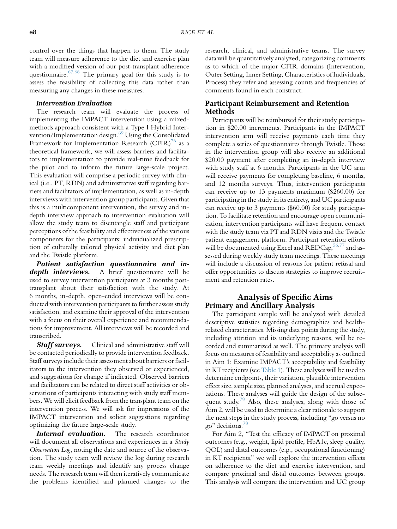control over the things that happen to them. The study team will measure adherence to the diet and exercise plan with a modified version of our post-transplant adherence questionnaire.  $67,68$  $67,68$  The primary goal for this study is to assess the feasibility of collecting this data rather than measuring any changes in these measures.

#### Intervention Evaluation

The research team will evaluate the process of implementing the IMPACT intervention using a mixedmethods approach consistent with a Type I Hybrid Intervention/Implementation design[.69](#page-10-29) Using the Consolidated Framework for Implementation Research  $(CFIR)^{76}$  $(CFIR)^{76}$  $(CFIR)^{76}$  as a theoretical framework, we will assess barriers and facilitators to implementation to provide real-time feedback for the pilot and to inform the future large-scale project. This evaluation will comprise a periodic survey with clinical (i.e., PT, RDN) and administrative staff regarding barriers and facilitators of implementation, as well as in-depth interviews with intervention group participants. Given that this is a multicomponent intervention, the survey and indepth interview approach to intervention evaluation will allow the study team to disentangle staff and participant perceptions of the feasibility and effectiveness of the various components for the participants: individualized prescription of culturally tailored physical activity and diet plan and the Twistle platform.

Patient satisfaction questionnaire and indepth interviews. A brief questionnaire will be used to survey intervention participants at 3 months posttransplant about their satisfaction with the study. At 6 months, in-depth, open-ended interviews will be conducted with intervention participants to further assess study satisfaction, and examine their approval of the intervention with a focus on their overall experience and recommendations for improvement. All interviews will be recorded and transcribed.

**Staff surveys.** Clinical and administrative staff will be contacted periodically to provide intervention feedback. Staff surveys include their assessment about barriers or facilitators to the intervention they observed or experienced, and suggestions for change if indicated. Observed barriers and facilitators can be related to direct staff activities or observations of participants interacting with study staff members. We will elicit feedback from the transplant team on the intervention process. We will ask for impressions of the IMPACT intervention and solicit suggestions regarding optimizing the future large-scale study.

Internal evaluation. The research coordinator will document all observations and experiences in a *Study* Observation Log, noting the date and source of the observation. The study team will review the log during research team weekly meetings and identify any process change needs. The research team will then iteratively communicate the problems identified and planned changes to the

research, clinical, and administrative teams. The survey data will be quantitatively analyzed, categorizing comments as to which of the major CFIR domains (Intervention, Outer Setting, Inner Setting, Characteristics of Individuals, Process) they refer and assessing counts and frequencies of comments found in each construct.

## Participant Reimbursement and Retention Methods

Participants will be reimbursed for their study participation in \$20.00 increments. Participants in the IMPACT intervention arm will receive payments each time they complete a series of questionnaires through Twistle. Those in the intervention group will also receive an additional \$20.00 payment after completing an in-depth interview with study staff at 6 months. Participants in the UC arm will receive payments for completing baseline, 6 months, and 12 months surveys. Thus, intervention participants can receive up to 13 payments maximum (\$260.00) for participating in the study in its entirety, and UC participants can receive up to 3 payments (\$60.00) for study participation. To facilitate retention and encourage open communication, intervention participants will have frequent contact with the study team via PT and RDN visits and the Twistle patient engagement platform. Participant retention efforts will be documented using Excel and REDCap,  $56,77$  $56,77$  and assessed during weekly study team meetings. These meetings will include a discussion of reasons for patient refusal and offer opportunities to discuss strategies to improve recruitment and retention rates.

# Analysis of Specific Aims Primary and Ancillary Analysis

The participant sample will be analyzed with detailed descriptive statistics regarding demographics and healthrelated characteristics. Missing data points during the study, including attrition and its underlying reasons, will be recorded and summarized as well. The primary analysis will focus on measures of feasibility and acceptability as outlined in Aim 1: Examine IMPACT's acceptability and feasibility in KT recipients (see [Table 1](#page-2-0)). These analyses will be used to determine endpoints, their variation, plausible intervention effect size, sample size, planned analyses, and accrual expectations. These analyses will guide the design of the subse-quent study.<sup>[78](#page-11-2)</sup> Also, these analyses, along with those of Aim 2, will be used to determine a clear rationale to support the next steps in the study process, including ''go versus no go'' decisions.[78](#page-11-2)

For Aim 2, ''Test the efficacy of IMPACT on proximal outcomes (e.g., weight, lipid profile, HbA1c, sleep quality, QOL) and distal outcomes (e.g., occupational functioning) in KT recipients,'' we will explore the intervention effects on adherence to the diet and exercise intervention, and compare proximal and distal outcomes between groups. This analysis will compare the intervention and UC group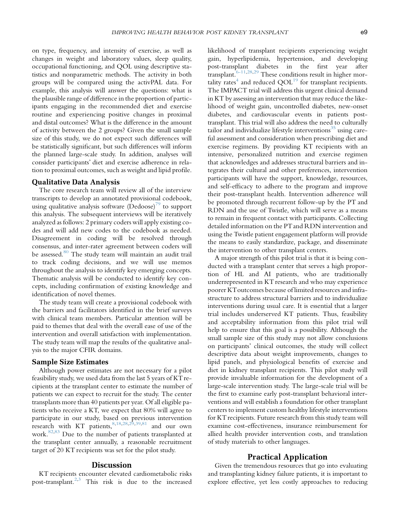on type, frequency, and intensity of exercise, as well as changes in weight and laboratory values, sleep quality, occupational functioning, and QOL using descriptive statistics and nonparametric methods. The activity in both groups will be compared using the activPAL data. For example, this analysis will answer the questions: what is the plausible range of difference in the proportion of participants engaging in the recommended diet and exercise routine and experiencing positive changes in proximal and distal outcomes? What is the difference in the amount of activity between the 2 groups? Given the small sample size of this study, we do not expect such differences will be statistically significant, but such differences will inform the planned large-scale study. In addition, analyses will consider participants' diet and exercise adherence in relation to proximal outcomes, such as weight and lipid profile.

## Qualitative Data Analysis

The core research team will review all of the interview transcripts to develop an annotated provisional codebook, using qualitative analysis software  $(Dedoose)^{9}$  to support this analysis. The subsequent interviews will be iteratively analyzed as follows: 2 primary coders will apply existing codes and will add new codes to the codebook as needed. Disagreement in coding will be resolved through consensus, and inter-rater agreement between coders will be assessed.<sup>[80](#page-11-4)</sup> The study team will maintain an audit trail to track coding decisions, and we will use memos throughout the analysis to identify key emerging concepts. Thematic analysis will be conducted to identify key concepts, including confirmation of existing knowledge and identification of novel themes.

The study team will create a provisional codebook with the barriers and facilitators identified in the brief surveys with clinical team members. Particular attention will be paid to themes that deal with the overall ease of use of the intervention and overall satisfaction with implementation. The study team will map the results of the qualitative analysis to the major CFIR domains.

## Sample Size Estimates

Although power estimates are not necessary for a pilot feasibility study, we used data from the last 5 years of KT recipients at the transplant center to estimate the number of patients we can expect to recruit for the study. The center transplants more than 40 patients per year. Of all eligible patients who receive a KT, we expect that 80% will agree to participate in our study, based on previous intervention research with KT patients,  $8,18,28,29,39,81$  $8,18,28,29,39,81$  $8,18,28,29,39,81$  $8,18,28,29,39,81$  $8,18,28,29,39,81$  $8,18,28,29,39,81$  and our own work.[82,](#page-11-6)[83](#page-11-7) Due to the number of patients transplanted at the transplant center annually, a reasonable recruitment target of 20 KT recipients was set for the pilot study.

## **Discussion**

KT recipients encounter elevated cardiometabolic risks post-transplant[.2](#page-9-22)[,3](#page-9-4) This risk is due to the increased likelihood of transplant recipients experiencing weight gain, hyperlipidemia, hypertension, and developing post-transplant diabetes in the first year after transplant.[6-11,](#page-9-3)[28,](#page-9-25)[29](#page-9-26) These conditions result in higher mortality rates<sup>4</sup> and reduced  $QOL<sup>19</sup>$  for transplant recipients. The IMPACT trial will address this urgent clinical demand in KT by assessing an intervention that may reduce the likelihood of weight gain, uncontrolled diabetes, new-onset diabetes, and cardiovascular events in patients posttransplant. This trial will also address the need to culturally tailor and individualize lifestyle interventions<sup>[35](#page-9-21)</sup> using careful assessment and consideration when prescribing diet and exercise regimens. By providing KT recipients with an intensive, personalized nutrition and exercise regimen that acknowledges and addresses structural barriers and integrates their cultural and other preferences, intervention participants will have the support, knowledge, resources, and self-efficacy to adhere to the program and improve their post-transplant health. Intervention adherence will be promoted through recurrent follow-up by the PT and RDN and the use of Twistle, which will serve as a means to remain in frequent contact with participants. Collecting detailed information on the PTand RDN intervention and using the Twistle patient engagement platform will provide the means to easily standardize, package, and disseminate the intervention to other transplant centers.

A major strength of this pilot trial is that it is being conducted with a transplant center that serves a high proportion of HL and AI patients, who are traditionally underrepresented in KT research and who may experience poorer KToutcomes because of limited resources and infrastructure to address structural barriers and to individualize interventions during usual care. It is essential that a larger trial includes underserved KT patients. Thus, feasibility and acceptability information from this pilot trial will help to ensure that this goal is a possibility. Although the small sample size of this study may not allow conclusions on participants' clinical outcomes, the study will collect descriptive data about weight improvements, changes to lipid panels, and physiological benefits of exercise and diet in kidney transplant recipients. This pilot study will provide invaluable information for the development of a large-scale intervention study. The large-scale trial will be the first to examine early post-transplant behavioral interventions and will establish a foundation for other transplant centers to implement custom healthy lifestyle interventions for KT recipients. Future research from this study team will examine cost-effectiveness, insurance reimbursement for allied health provider intervention costs, and translation of study materials to other languages.

## Practical Application

Given the tremendous resources that go into evaluating and transplanting kidney failure patients, it is important to explore effective, yet less costly approaches to reducing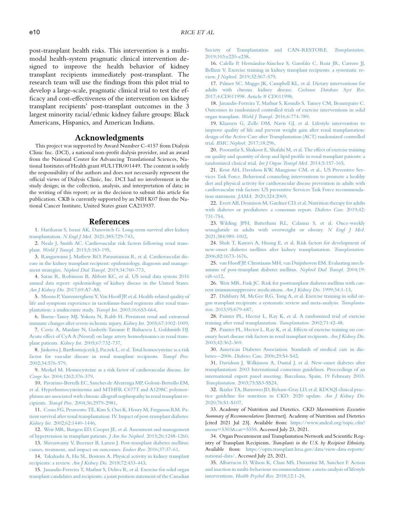post-transplant health risks. This intervention is a multimodal health-system pragmatic clinical intervention designed to improve the health behavior of kidney transplant recipients immediately post-transplant. The research team will use the findings from this pilot trial to develop a large-scale, pragmatic clinical trial to test the efficacy and cost-effectiveness of the intervention on kidney transplant recipients' post-transplant outcomes in the 3 largest minority racial/ethnic kidney failure groups: Black Americans, Hispanics, and American Indians.

# Acknowledgments

This project was supported by Award Number C-4157 from Dialysis Clinic Inc. (DCI), a national non-profit dialysis provider, and an award from the National Center for Advancing Translational Sciences, National Institutes of Health grant #UL1TR001449. The content is solely the responsibility of the authors and does not necessarily represent the official views of Dialysis Clinic, Inc. DCI had no involvement in the study design; in the collection, analysis, and interpretation of data; in the writing of this report; or in the decision to submit this article for publication. CKB is currently supported by an NIH K07 from the National Cancer Institute, United States grant CA215937.

#### References

<span id="page-9-0"></span>1. [Hariharan S, Israni AK, Danovitch G. Long-term survival after kidney](http://refhub.elsevier.com/S1051-2276(22)00019-X/sref1) transplantation. N Engl J Med. [2021;385:729-743](http://refhub.elsevier.com/S1051-2276(22)00019-X/sref1).

<span id="page-9-22"></span>2. [Neale J, Smith AC. Cardiovascular risk factors following renal trans](http://refhub.elsevier.com/S1051-2276(22)00019-X/sref2)plant. World J Transpl. [2015;5:183-195.](http://refhub.elsevier.com/S1051-2276(22)00019-X/sref2)

<span id="page-9-4"></span>3. [Rangaswami J, Mathew RO, Parasuraman R, et al. Cardiovascular dis](http://refhub.elsevier.com/S1051-2276(22)00019-X/sref3)[ease in the kidney transplant recipient: epidemiology, diagnosis and manage](http://refhub.elsevier.com/S1051-2276(22)00019-X/sref3)ment strategies. [Nephrol Dial Transpl.](http://refhub.elsevier.com/S1051-2276(22)00019-X/sref3) 2019;34:760-773.

<span id="page-9-1"></span>4. [Saran R, Robinson B, Abbott KC, et al. US renal data system 2016](http://refhub.elsevier.com/S1051-2276(22)00019-X/sref4) [annual data report: epidemiology of kidney disease in the United States.](http://refhub.elsevier.com/S1051-2276(22)00019-X/sref4) [Am J Kidney Dis.](http://refhub.elsevier.com/S1051-2276(22)00019-X/sref4) 2017;69:A7-A8.

<span id="page-9-2"></span>5. [Moons P, Vanrenterghem Y, Van Hooff JP, et al. Health-related quality of](http://refhub.elsevier.com/S1051-2276(22)00019-X/sref5) [life and symptom experience in tacrolimus-based regimens after renal trans](http://refhub.elsevier.com/S1051-2276(22)00019-X/sref5)[plantation: a multicentre study.](http://refhub.elsevier.com/S1051-2276(22)00019-X/sref5) Transpl Int. 2003;16:653-664.

<span id="page-9-3"></span>6. [Burne-Taney MJ, Yokota N, Rabb H. Persistent renal and extrarenal](http://refhub.elsevier.com/S1051-2276(22)00019-X/sref6) [immune changes after severe ischemic injury.](http://refhub.elsevier.com/S1051-2276(22)00019-X/sref6) Kidney Int. 2005;67:1002-1009.

7. [Covic A, Mardare N, Gusbeth-Tatomir P, Buhaescu I, Goldsmith DJ.](http://refhub.elsevier.com/S1051-2276(22)00019-X/sref7) [Acute effect of CyA A \(Neoral\) on large artery hemodynamics in renal trans](http://refhub.elsevier.com/S1051-2276(22)00019-X/sref7)plant patients. Kidney Int. [2005;67:732-737](http://refhub.elsevier.com/S1051-2276(22)00019-X/sref7).

<span id="page-9-24"></span>8. [Juskowa J, Bart](http://refhub.elsevier.com/S1051-2276(22)00019-X/sref8)ł[omiejczyk J, Paczek L, et al. Total homocysteine as a risk](http://refhub.elsevier.com/S1051-2276(22)00019-X/sref8) [factor for vascular disease in renal transplant recipients.](http://refhub.elsevier.com/S1051-2276(22)00019-X/sref8) Transpl Proc. [2002;34:576-579](http://refhub.elsevier.com/S1051-2276(22)00019-X/sref8).

9. [Merkel M. Homocysteine as a risk factor of cardiovascular disease.](http://refhub.elsevier.com/S1051-2276(22)00019-X/sref9) Int Congr Ser. [2004;1262:376-379.](http://refhub.elsevier.com/S1051-2276(22)00019-X/sref9)

10. [Pavarino-Bertelli EC, Sanches de Alvarenga MP, Goloni-Bertollo EM,](http://refhub.elsevier.com/S1051-2276(22)00019-X/sref10) [et al. Hyperhomocysteinemia and MTHFR C677T and A1298C polymor](http://refhub.elsevier.com/S1051-2276(22)00019-X/sref10)[phisms are associated with chronic allograft nephropathy in renal transplant re](http://refhub.elsevier.com/S1051-2276(22)00019-X/sref10)cipients. Transpl Proc. [2004;36:2979-2981.](http://refhub.elsevier.com/S1051-2276(22)00019-X/sref10)

11. [Cosio FG, Pesavento TE, Kim S, Osei K, Henry M, Ferguson RM. Pa](http://refhub.elsevier.com/S1051-2276(22)00019-X/sref11)[tient survival after renal transplantation: IV. Impact of post-transplant diabetes.](http://refhub.elsevier.com/S1051-2276(22)00019-X/sref11) Kidney Int. [2002;62:1440-1446.](http://refhub.elsevier.com/S1051-2276(22)00019-X/sref11)

<span id="page-9-5"></span>12. [Weir MR, Burgess ED, Cooper JE, et al. Assessment and management](http://refhub.elsevier.com/S1051-2276(22)00019-X/sref12) [of hypertension in transplant patients.](http://refhub.elsevier.com/S1051-2276(22)00019-X/sref12) J Am Soc Nephrol. 2015;26:1248-1260.

<span id="page-9-6"></span>13. [Shivaswamy V, Boerner B, Larsen J. Post-transplant diabetes mellitus:](http://refhub.elsevier.com/S1051-2276(22)00019-X/sref13) [causes, treatment, and impact on outcomes.](http://refhub.elsevier.com/S1051-2276(22)00019-X/sref13) Endocr Rev. 2016;37:37-61.

<span id="page-9-7"></span>14. [Takahashi A, Hu SL, Bostom A. Physical activity in kidney transplant](http://refhub.elsevier.com/S1051-2276(22)00019-X/sref14) [recipients: a review.](http://refhub.elsevier.com/S1051-2276(22)00019-X/sref14) Am J Kidney Dis. 2018;72:433-443.

<span id="page-9-15"></span>15. [Janaudis-Ferreira T, Mathur S, Deliva R, et al. Exercise for solid organ](http://refhub.elsevier.com/S1051-2276(22)00019-X/sref15) [transplant candidates and recipients: a joint position statement of the Canadian](http://refhub.elsevier.com/S1051-2276(22)00019-X/sref15) [Society of Transplantation and CAN-RESTORE.](http://refhub.elsevier.com/S1051-2276(22)00019-X/sref15) Transplantation. [2019;103:e220-e238.](http://refhub.elsevier.com/S1051-2276(22)00019-X/sref15)

<span id="page-9-16"></span>16. [Calella P, Hern](http://refhub.elsevier.com/S1051-2276(22)00019-X/sref16)ández-Sánchez S, Garofalo C, Ruiz JR, Carrero JJ, [Bellizzi V. Exercise training in kidney transplant recipients: a systematic re](http://refhub.elsevier.com/S1051-2276(22)00019-X/sref16)view. J Nephrol. [2019;32:567-579.](http://refhub.elsevier.com/S1051-2276(22)00019-X/sref16)

<span id="page-9-19"></span>17. [Palmer SC, Maggo JK, Campbell KL, et al. Dietary interventions for](http://refhub.elsevier.com/S1051-2276(22)00019-X/sref17) [adults with chronic kidney disease.](http://refhub.elsevier.com/S1051-2276(22)00019-X/sref17) Cochrane Database Syst Rev. [2017;4:CD011998. Article # CD011998](http://refhub.elsevier.com/S1051-2276(22)00019-X/sref17).

<span id="page-9-23"></span>18. [Janaudis-Ferreira T, Mathur S, Konidis S, Tansey CM, Beaurepaire C.](http://refhub.elsevier.com/S1051-2276(22)00019-X/sref18) [Outcomes in randomized controlled trials of exercise interventions in solid](http://refhub.elsevier.com/S1051-2276(22)00019-X/sref18) [organ transplant.](http://refhub.elsevier.com/S1051-2276(22)00019-X/sref18) World J Transpl. 2016;6:774-789.

<span id="page-9-8"></span>19. [Klaassen G, Zelle DM, Navis GJ, et al. Lifestyle intervention to](http://refhub.elsevier.com/S1051-2276(22)00019-X/sref19) [improve quality of life and prevent weight gain after renal transplantation:](http://refhub.elsevier.com/S1051-2276(22)00019-X/sref19) [design of the Active Care after Transplantation \(ACT\) randomized controlled](http://refhub.elsevier.com/S1051-2276(22)00019-X/sref19) trial. [BMC Nephrol.](http://refhub.elsevier.com/S1051-2276(22)00019-X/sref19) 2017;18:296.

<span id="page-9-9"></span>20. [Pooranfar S, Shakoor E, Shafahi M, et al. The effect of exercise training](http://refhub.elsevier.com/S1051-2276(22)00019-X/sref20) [on quality and quantity of sleep and lipid profile in renal transplant patients: a](http://refhub.elsevier.com/S1051-2276(22)00019-X/sref20) [randomized clinical trial.](http://refhub.elsevier.com/S1051-2276(22)00019-X/sref20) Int J Organ Transpl Med. 2014;5:157-165.

<span id="page-9-10"></span>21. [Krist AH, Davidson KW, Mangione CM, et al., US Preventive Ser](http://refhub.elsevier.com/S1051-2276(22)00019-X/sref21)[vices Task Force. Behavioral counseling interventions to promote a healthy](http://refhub.elsevier.com/S1051-2276(22)00019-X/sref21) [diet and physical activity for cardiovascular disease prevention in adults with](http://refhub.elsevier.com/S1051-2276(22)00019-X/sref21) [cardiovascular risk factors: US preventive Services Task Force recommenda](http://refhub.elsevier.com/S1051-2276(22)00019-X/sref21)tion statement. JAMA. [2020;324:2069.](http://refhub.elsevier.com/S1051-2276(22)00019-X/sref21)

22. [Evert AB, Dennison M, Gardner CD, et al. Nutrition therapy for adults](http://refhub.elsevier.com/S1051-2276(22)00019-X/sref22) [with diabetes or prediabetes: a consensus report.](http://refhub.elsevier.com/S1051-2276(22)00019-X/sref22) Diabetes Care. 2019;42: [731-754.](http://refhub.elsevier.com/S1051-2276(22)00019-X/sref22)

23. [Wilding JPH, Batterham RL, Calanna S, et al. Once-weekly](http://refhub.elsevier.com/S1051-2276(22)00019-X/sref23) [semaglutide in adults with overweight or obesity.](http://refhub.elsevier.com/S1051-2276(22)00019-X/sref23) N Engl J Med. [2021;384:989-1002.](http://refhub.elsevier.com/S1051-2276(22)00019-X/sref23)

<span id="page-9-11"></span>24. [Shah T, Kasravi A, Huang E, et al. Risk factors for development of](http://refhub.elsevier.com/S1051-2276(22)00019-X/sref24) [new-onset diabetes mellitus after kidney transplantation.](http://refhub.elsevier.com/S1051-2276(22)00019-X/sref24) Transplantation. [2006;82:1673-1676.](http://refhub.elsevier.com/S1051-2276(22)00019-X/sref24)

25. [van Hooff JP, Christiaans MH, van Duijnhoven EM. Evaluating mech](http://refhub.elsevier.com/S1051-2276(22)00019-X/sref25)[anisms of post-transplant diabetes mellitus.](http://refhub.elsevier.com/S1051-2276(22)00019-X/sref25) Nephrol Dial Transpl. 2004;19: [vi8-vi12.](http://refhub.elsevier.com/S1051-2276(22)00019-X/sref25)

26. [Weir MR, Fink JC. Risk for posttransplant diabetes mellitus with cur](http://refhub.elsevier.com/S1051-2276(22)00019-X/sref26)[rent immunosuppressive medications.](http://refhub.elsevier.com/S1051-2276(22)00019-X/sref26) Am J Kidney Dis. 1999;34:1-13.

<span id="page-9-12"></span>27. [Didsbury M, McGee RG, Tong A, et al. Exercise training in solid or](http://refhub.elsevier.com/S1051-2276(22)00019-X/sref27)[gan transplant recipients: a systematic review and meta-analysis.](http://refhub.elsevier.com/S1051-2276(22)00019-X/sref27) Transplantation. [2013;95:679-687](http://refhub.elsevier.com/S1051-2276(22)00019-X/sref27).

<span id="page-9-25"></span>28. [Painter PL, Hector L, Ray K, et al. A randomized trial of exercise](http://refhub.elsevier.com/S1051-2276(22)00019-X/sref28) [training after renal transplantation.](http://refhub.elsevier.com/S1051-2276(22)00019-X/sref28) Transplantation. 2002;71:42-48.

<span id="page-9-26"></span>29. [Painter PL, Hector L, Ray K, et al. Effects of exercise training on cor](http://refhub.elsevier.com/S1051-2276(22)00019-X/sref29)[onary heart disease risk factors in renal transplant recipients.](http://refhub.elsevier.com/S1051-2276(22)00019-X/sref29) Am J Kidney Dis. [2003;42:362-369](http://refhub.elsevier.com/S1051-2276(22)00019-X/sref29).

<span id="page-9-13"></span>30. [American Diabetes Association. Standards of medical care in dia](http://refhub.elsevier.com/S1051-2276(22)00019-X/sref30)betes—2006. Diabetes Care. [2006;29:S4-S42](http://refhub.elsevier.com/S1051-2276(22)00019-X/sref30).

<span id="page-9-14"></span>31. [Davidson J, Wilkinson A, Dantal J, et al. New-onset diabetes after](http://refhub.elsevier.com/S1051-2276(22)00019-X/sref31) [transplantation: 2003 International consensus guidelines. Proceedings of an](http://refhub.elsevier.com/S1051-2276(22)00019-X/sref31) [international expert panel meeting. Barcelona, Spain, 19 February 2003.](http://refhub.elsevier.com/S1051-2276(22)00019-X/sref31) Transplantation. [2003;75:SS3-SS24.](http://refhub.elsevier.com/S1051-2276(22)00019-X/sref31)

<span id="page-9-17"></span>32. [Ikizler TA, Burrowes JD, Byham-Gray LD, et al. KDOQI clinical prac](http://refhub.elsevier.com/S1051-2276(22)00019-X/sref32)[tice guideline for nutrition in CKD: 2020 update.](http://refhub.elsevier.com/S1051-2276(22)00019-X/sref32) Am J Kidney Dis. [2020;76:S1-S107](http://refhub.elsevier.com/S1051-2276(22)00019-X/sref32).

<span id="page-9-18"></span>33. Academy of Nutrition and Dietetics. CKD Macronutrients Executive Summary of Recommendations [Internet]. Academy of Nutrition and Dietetics [cited 2021 Jul 23]. Available from: [https://www.andeal.org/topic.cfm?](https://www.andeal.org/topic.cfm?menu=5303&cat=5558) [menu](https://www.andeal.org/topic.cfm?menu=5303&cat=5558)=[5303&cat](https://www.andeal.org/topic.cfm?menu=5303&cat=5558)=[5558](https://www.andeal.org/topic.cfm?menu=5303&cat=5558). Accessed July 23, 2021.

<span id="page-9-20"></span>34. Organ Procurement and Transplantation Network and Scientific Registry of Transplant Recipients. Transplants in the U.S. by Recipient Ethnicity. Available from: [https://optn.transplant.hrsa.gov/data/view-data-reports/](https://optn.transplant.hrsa.gov/data/view-data-reports/national-data/) [national-data/](https://optn.transplant.hrsa.gov/data/view-data-reports/national-data/). Accessed July 23, 2021.

<span id="page-9-21"></span>35. [Albarracin D, Wilson K, Chan MS, Durantini M, Sanchez F. Action](http://refhub.elsevier.com/S1051-2276(22)00019-X/sref35) [and inaction in multi-behaviour recommendations: a meta-analysis of lifestyle](http://refhub.elsevier.com/S1051-2276(22)00019-X/sref35) interventions. [Health Psychol Rev.](http://refhub.elsevier.com/S1051-2276(22)00019-X/sref35) 2018;12:1-24.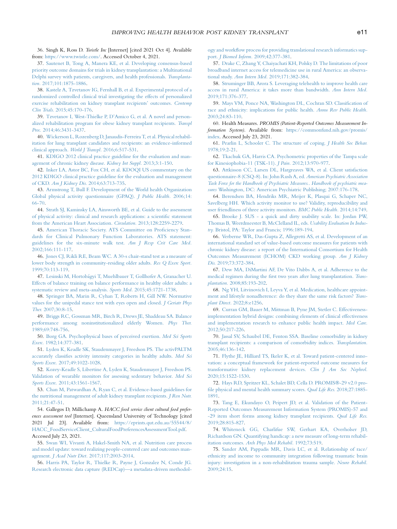<span id="page-10-0"></span>36. Singh K, Ross D. Twistle Inc [Internet] [cited 2021 Oct 4]. Available from: <https://www.twistle.com/>. Accessed October 4, 2021.

<span id="page-10-1"></span>37. [Sautenet B, Tong A, Manera KE, et al. Developing consensus-based](http://refhub.elsevier.com/S1051-2276(22)00019-X/sref37) [priority outcome domains for trials in kidney transplantation: a Multinational](http://refhub.elsevier.com/S1051-2276(22)00019-X/sref37) [Delphi survey with patients, caregivers, and health professionals.](http://refhub.elsevier.com/S1051-2276(22)00019-X/sref37) Transplantation. [2017;101:1875-1886.](http://refhub.elsevier.com/S1051-2276(22)00019-X/sref37)

<span id="page-10-2"></span>38. [Kastelz A, Tzvetanov IG, Fernhall B, et al. Experimental protocol of a](http://refhub.elsevier.com/S1051-2276(22)00019-X/sref38) [randomized controlled clinical trial investigating the effects of personalized](http://refhub.elsevier.com/S1051-2276(22)00019-X/sref38) [exercise rehabilitation on kidney transplant recipients' outcomes.](http://refhub.elsevier.com/S1051-2276(22)00019-X/sref38) Contemp Clin Trials. [2015;45:170-176](http://refhub.elsevier.com/S1051-2276(22)00019-X/sref38).

<span id="page-10-49"></span>39. [Tzvetanov I, West-Thielke P, D'Amico G, et al. A novel and person](http://refhub.elsevier.com/S1051-2276(22)00019-X/sref39)[alized rehabilitation program for obese kidney transplant recipients.](http://refhub.elsevier.com/S1051-2276(22)00019-X/sref39) Transpl Proc. [2014;46:3431-3437.](http://refhub.elsevier.com/S1051-2276(22)00019-X/sref39)

40. [Wickerson L, Rozenberg D, Janaudis-Ferreira T, et al. Physical rehabil](http://refhub.elsevier.com/S1051-2276(22)00019-X/sref40)[itation for lung transplant candidates and recipients: an evidence-informed](http://refhub.elsevier.com/S1051-2276(22)00019-X/sref40) [clinical approach.](http://refhub.elsevier.com/S1051-2276(22)00019-X/sref40) World J Transpl. 2016;6:517-531.

<span id="page-10-3"></span>41. [KDIGO 2012 clinical practice guideline for the evaluation and man](http://refhub.elsevier.com/S1051-2276(22)00019-X/sref41)[agement of chronic kidney disease.](http://refhub.elsevier.com/S1051-2276(22)00019-X/sref41) Kidney Int Suppl. 2013;3:1-150.

<span id="page-10-4"></span>42. [Inker LA, Astor BC, Fox CH, et al. KDOQI US commentary on the](http://refhub.elsevier.com/S1051-2276(22)00019-X/sref42) [2012 KDIGO clinical practice guideline for the evaluation and management](http://refhub.elsevier.com/S1051-2276(22)00019-X/sref42) of CKD. Am J Kidney Dis. [2014;63:713-735](http://refhub.elsevier.com/S1051-2276(22)00019-X/sref42).

<span id="page-10-5"></span>43. [Armstrong T, Bull F. Development of the World health Organization](http://refhub.elsevier.com/S1051-2276(22)00019-X/sref43) [Global physical activity questionnaire \(GPAQ\).](http://refhub.elsevier.com/S1051-2276(22)00019-X/sref43) J Public Health. 2006;14: [66-70.](http://refhub.elsevier.com/S1051-2276(22)00019-X/sref43)

<span id="page-10-6"></span>44. [Strath SJ, Kaminsky LA, Ainsworth BE, et al. Guide to the assessment](http://refhub.elsevier.com/S1051-2276(22)00019-X/sref44) [of physical activity: clinical and research applications: a scientific statement](http://refhub.elsevier.com/S1051-2276(22)00019-X/sref44) [from the American Heart Association.](http://refhub.elsevier.com/S1051-2276(22)00019-X/sref44) Circulation. 2013;128:2259-2279.

<span id="page-10-7"></span>45. [American Thoracic Society. ATS Committee on Proficiency Stan](http://refhub.elsevier.com/S1051-2276(22)00019-X/sref45)[dards for Clinical Pulmonary Function Laboratories. ATS statement:](http://refhub.elsevier.com/S1051-2276(22)00019-X/sref45) [guidelines for the six-minute walk test.](http://refhub.elsevier.com/S1051-2276(22)00019-X/sref45) Am J Resp Crit Care Med. [2002;166:111-117.](http://refhub.elsevier.com/S1051-2276(22)00019-X/sref45)

<span id="page-10-8"></span>46. [Jones CJ, Rikli RE, Beam WC. A 30-s chair-stand test as a measure of](http://refhub.elsevier.com/S1051-2276(22)00019-X/sref46) [lower body strength in community-residing older adults.](http://refhub.elsevier.com/S1051-2276(22)00019-X/sref46) Res Q Exerc Sport. [1999;70:113-119.](http://refhub.elsevier.com/S1051-2276(22)00019-X/sref46)

<span id="page-10-9"></span>47. [Lesinski M, Hortob](http://refhub.elsevier.com/S1051-2276(22)00019-X/sref47)ágyi T, Muehlbauer T, Gollhofer A, Granacher U. [Effects of balance training on balance performance in healthy older adults: a](http://refhub.elsevier.com/S1051-2276(22)00019-X/sref47) [systematic review and meta-analysis.](http://refhub.elsevier.com/S1051-2276(22)00019-X/sref47) Sports Med. 2015;45:1721-1738.

48. [Springer BA, Marin R, Cyhan T, Roberts H, Gill NW. Normative](http://refhub.elsevier.com/S1051-2276(22)00019-X/sref48) [values for the unipedal stance test with eyes open and closed.](http://refhub.elsevier.com/S1051-2276(22)00019-X/sref48) J Geriatr Phys Ther. [2007;30:8-15.](http://refhub.elsevier.com/S1051-2276(22)00019-X/sref48)

49. [Briggs RC, Gossman MR, Birch R, Drews JE, Shaddeau SA. Balance](http://refhub.elsevier.com/S1051-2276(22)00019-X/sref49) [performance among noninstitutionalized elderly Women.](http://refhub.elsevier.com/S1051-2276(22)00019-X/sref49) Phys Ther. [1989;69:748-756.](http://refhub.elsevier.com/S1051-2276(22)00019-X/sref49)

<span id="page-10-10"></span>50. [Borg GA. Psychophysical bases of perceived exertion.](http://refhub.elsevier.com/S1051-2276(22)00019-X/sref50) Med Sci Sports Exerc. [1982;14:377-381](http://refhub.elsevier.com/S1051-2276(22)00019-X/sref50).

<span id="page-10-11"></span>51. [Lyden K, Keadle SK, Staudenmayer J, Freedson PS. The activPALTM](http://refhub.elsevier.com/S1051-2276(22)00019-X/sref51) [accurately classifies activity intensity categories in healthy adults.](http://refhub.elsevier.com/S1051-2276(22)00019-X/sref51) Med Sci Sports Exerc. [2017;49:1022-1028.](http://refhub.elsevier.com/S1051-2276(22)00019-X/sref51)

<span id="page-10-12"></span>52. [Kozey-Keadle S, Libertine A, Lyden K, Staudenmayer J, Freedson PS.](http://refhub.elsevier.com/S1051-2276(22)00019-X/sref52) [Validation of wearable monitors for assessing sedentary behavior.](http://refhub.elsevier.com/S1051-2276(22)00019-X/sref52) Med Sci Sports Exerc. [2011;43:1561-1567.](http://refhub.elsevier.com/S1051-2276(22)00019-X/sref52)

<span id="page-10-13"></span>53. [Chan M, Patwardhan A, Ryan C, et al. Evidence-based guidelines for](http://refhub.elsevier.com/S1051-2276(22)00019-X/sref53) [the nutritional management of adult kidney transplant recipients.](http://refhub.elsevier.com/S1051-2276(22)00019-X/sref53) J Ren Nutr.  $2011.21.47 - 51$ 

<span id="page-10-14"></span>54. Gallegos D, Millichamp A. HACC food service client cultural food preferences assessment tool [Internet]. Queensland University of Technology [cited 2021 Jul 23]. Available from: [https://eprints.qut.edu.au/55544/8/](https://eprints.qut.edu.au/55544/8/HACC_FoodServiceClient_CulturalFoodPreferencesAssessmentTool.pdf) [HACC\\_FoodServiceClient\\_CulturalFoodPreferencesAssessmentTool.pdf](https://eprints.qut.edu.au/55544/8/HACC_FoodServiceClient_CulturalFoodPreferencesAssessmentTool.pdf). Accessed July 23, 2021.

<span id="page-10-15"></span>55. [Swan WI, Vivanti A, Hakel-Smith NA, et al. Nutrition care process](http://refhub.elsevier.com/S1051-2276(22)00019-X/sref55) [and model update: toward realizing people-centered care and outcomes man](http://refhub.elsevier.com/S1051-2276(22)00019-X/sref55)agement. J Acad Nutr Diet. [2017;117:2003-2014](http://refhub.elsevier.com/S1051-2276(22)00019-X/sref55).

<span id="page-10-16"></span>56. [Harris PA, Taylor R, Thielke R, Payne J, Gonzalez N, Conde JG.](http://refhub.elsevier.com/S1051-2276(22)00019-X/sref56) [Research electronic data capture \(REDCap\)—a metadata-driven methodol-](http://refhub.elsevier.com/S1051-2276(22)00019-X/sref56) <span id="page-10-47"></span><span id="page-10-37"></span><span id="page-10-36"></span>[ogy and workflow process for providing translational research informatics sup](http://refhub.elsevier.com/S1051-2276(22)00019-X/sref56)port. J Biomed Inform. [2009;42:377-381](http://refhub.elsevier.com/S1051-2276(22)00019-X/sref56).

<span id="page-10-17"></span>57. [Drake C, Zhang Y, Chaiyachati KH, Polsky D. The limitations of poor](http://refhub.elsevier.com/S1051-2276(22)00019-X/sref57) [broadband internet access for telemedicine use in rural America: an observa](http://refhub.elsevier.com/S1051-2276(22)00019-X/sref57)tional study. Ann Intern Med. [2019;171:382-384.](http://refhub.elsevier.com/S1051-2276(22)00019-X/sref57)

<span id="page-10-18"></span>58. [Struminger BB, Arora S. Leveraging telehealth to improve health care](http://refhub.elsevier.com/S1051-2276(22)00019-X/sref58) [access in rural America: it takes more than bandwidth.](http://refhub.elsevier.com/S1051-2276(22)00019-X/sref58) Ann Intern Med. [2019;171:376-377.](http://refhub.elsevier.com/S1051-2276(22)00019-X/sref58)

<span id="page-10-19"></span>59. [Mays VM, Ponce NA, Washington DL, Cochran SD. Classification of](http://refhub.elsevier.com/S1051-2276(22)00019-X/sref69) [race and ethnicity: implications for public health.](http://refhub.elsevier.com/S1051-2276(22)00019-X/sref69) Annu Rev Public Health. [2003;24:83-110.](http://refhub.elsevier.com/S1051-2276(22)00019-X/sref69)

<span id="page-10-20"></span>60. Health Measures. PROMIS (Patient-Reported Outcomes Measurement Information System). Available from: [https://commonfund.nih.gov/promis/](https://commonfund.nih.gov/promis/index) [index](https://commonfund.nih.gov/promis/index). Accessed July 23, 2021.

<span id="page-10-21"></span>61. [Pearlin L, Schooler C. The structure of coping.](http://refhub.elsevier.com/S1051-2276(22)00019-X/sref72) J Health Soc Behav. [1978;19:2-21](http://refhub.elsevier.com/S1051-2276(22)00019-X/sref72).

<span id="page-10-22"></span>62. [Tkachuk GA, Harris CA. Psychometric properties of the Tampa scale](http://refhub.elsevier.com/S1051-2276(22)00019-X/sref71) [for Kinesiophobia-11 \(TSK-11\).](http://refhub.elsevier.com/S1051-2276(22)00019-X/sref71) J Pain. 2012;13:970-977.

<span id="page-10-23"></span>63. [Attkisson CC, Larsen DL, Hargreaves WA, et al. Client satisfaction](http://refhub.elsevier.com/S1051-2276(22)00019-X/sref59) [questionnaire-8 \(CSQ-8\). In: John Rush A, ed.](http://refhub.elsevier.com/S1051-2276(22)00019-X/sref59) American Psychiatric Association [Task Force for the Handbook of Psychiatric Measures.](http://refhub.elsevier.com/S1051-2276(22)00019-X/sref59). Handbook of psychiatric measures [Washington, DC: American Psychiatric Publishing; 2007:176-178.](http://refhub.elsevier.com/S1051-2276(22)00019-X/sref59)

<span id="page-10-24"></span>64. [Berendsen BA, Hendriks MR, Meijer K, Plasqui G, Schaper NC,](http://refhub.elsevier.com/S1051-2276(22)00019-X/sref61) [Savelberg HH. Which activity monitor to use? Validity, reproducibility and](http://refhub.elsevier.com/S1051-2276(22)00019-X/sref61) [user friendliness of three activity monitors.](http://refhub.elsevier.com/S1051-2276(22)00019-X/sref61) BMC Public Health. 2014;14:749.

<span id="page-10-48"></span><span id="page-10-46"></span><span id="page-10-45"></span><span id="page-10-44"></span><span id="page-10-43"></span><span id="page-10-42"></span><span id="page-10-41"></span><span id="page-10-40"></span><span id="page-10-39"></span><span id="page-10-38"></span><span id="page-10-25"></span>65. [Brooke J. SUS - a quick and dirty usability scale. In: Jordan PW,](http://refhub.elsevier.com/S1051-2276(22)00019-X/sref60) [Thomas B, Weerdmeester B, McClelland IL, eds.](http://refhub.elsevier.com/S1051-2276(22)00019-X/sref60) Usability Evaluation In Industry. [Bristol, PA: Taylor and Francis; 1996:189-194](http://refhub.elsevier.com/S1051-2276(22)00019-X/sref60).

<span id="page-10-26"></span>66. [Verberne WR, Das-Gupta Z, Allegretti AS, et al. Development of an](http://refhub.elsevier.com/S1051-2276(22)00019-X/sref66) [international standard set of value-based outcome measures for patients with](http://refhub.elsevier.com/S1051-2276(22)00019-X/sref66) [chronic kidney disease: a report of the International Consortium for Health](http://refhub.elsevier.com/S1051-2276(22)00019-X/sref66) [Outcomes Measurement \(ICHOM\) CKD working group.](http://refhub.elsevier.com/S1051-2276(22)00019-X/sref66) Am J Kidney Dis. [2019;73:372-384](http://refhub.elsevier.com/S1051-2276(22)00019-X/sref66).

<span id="page-10-27"></span>67. [Dew MA, DiMartini AF, De Vito Dabbs A, et al. Adherence to the](http://refhub.elsevier.com/S1051-2276(22)00019-X/sref73) [medical regimen during the first two years after lung transplantation.](http://refhub.elsevier.com/S1051-2276(22)00019-X/sref73) Transplantation. [2008;85:193-202.](http://refhub.elsevier.com/S1051-2276(22)00019-X/sref73)

<span id="page-10-28"></span>68. [Ng YH, Litvinovich I, Leyva Y, et al. Medication, healthcare appoint](http://refhub.elsevier.com/S1051-2276(22)00019-X/sref74)[ment and lifestyle nonadherence: do they share the same risk factors?](http://refhub.elsevier.com/S1051-2276(22)00019-X/sref74) Transplant Direct. [2022;8:e1256.](http://refhub.elsevier.com/S1051-2276(22)00019-X/sref74)

<span id="page-10-29"></span>69. [Curran GM, Bauer M, Mittman B, Pyne JM, Stetler C. Effectiveness](http://refhub.elsevier.com/S1051-2276(22)00019-X/sref75)[implementation hybrid designs: combining elements of clinical effectiveness](http://refhub.elsevier.com/S1051-2276(22)00019-X/sref75) [and implementation research to enhance public health impact.](http://refhub.elsevier.com/S1051-2276(22)00019-X/sref75) Med Care. [2012;50:217-226.](http://refhub.elsevier.com/S1051-2276(22)00019-X/sref75)

<span id="page-10-30"></span>70. [Jassal SV, Schaubel DE, Fenton SSA. Baseline comorbidity in kidney](http://refhub.elsevier.com/S1051-2276(22)00019-X/sref70) [transplant recipients: a comparison of comorbidity indices.](http://refhub.elsevier.com/S1051-2276(22)00019-X/sref70) Transplantation. [2005;46:136-142.](http://refhub.elsevier.com/S1051-2276(22)00019-X/sref70)

<span id="page-10-31"></span>71. [Flythe JE, Hilliard TS, Ikeler K, et al. Toward patient-centered inno](http://refhub.elsevier.com/S1051-2276(22)00019-X/sref63)[vation: a conceptual framework for patient-reported outcome measures for](http://refhub.elsevier.com/S1051-2276(22)00019-X/sref63) [transformative kidney replacement devices.](http://refhub.elsevier.com/S1051-2276(22)00019-X/sref63) Clin J Am Soc Nephrol. [2020;15:1522-1530.](http://refhub.elsevier.com/S1051-2276(22)00019-X/sref63)

<span id="page-10-32"></span>72. [Hays RD, Spritzer KL, Schalet BD, Cella D. PROMIS](http://refhub.elsevier.com/S1051-2276(22)00019-X/sref64)®-29 v2.0 pro[file physical and mental health summary scores.](http://refhub.elsevier.com/S1051-2276(22)00019-X/sref64) Qual Life Res. 2018;27:1885- [1891](http://refhub.elsevier.com/S1051-2276(22)00019-X/sref64).

<span id="page-10-33"></span>73. [Tang E, Ekundayo O, Peipert JD, et al. Validation of the Patient-](http://refhub.elsevier.com/S1051-2276(22)00019-X/sref65)[Reported Outcomes Measurement Information System \(PROMIS\)-57 and](http://refhub.elsevier.com/S1051-2276(22)00019-X/sref65) [-29 item short forms among kidney transplant recipients.](http://refhub.elsevier.com/S1051-2276(22)00019-X/sref65) Qual Life Res. [2019;28:815-827.](http://refhub.elsevier.com/S1051-2276(22)00019-X/sref65)

<span id="page-10-34"></span>74. [Whiteneck GG, Charlifue SW, Gerhart KA, Overholser JD,](http://refhub.elsevier.com/S1051-2276(22)00019-X/sref67) [Richardson GN. Quantifying handicap: a new measure of long-term rehabil](http://refhub.elsevier.com/S1051-2276(22)00019-X/sref67)itation outcomes. [Arch Phys Med Rehabil.](http://refhub.elsevier.com/S1051-2276(22)00019-X/sref67) 1992;73:519.

<span id="page-10-35"></span>75. [Sander AM, Pappadis MR, Davis LC, et al. Relationship of race/](http://refhub.elsevier.com/S1051-2276(22)00019-X/sref68) [ethnicity and income to community integration following traumatic brain](http://refhub.elsevier.com/S1051-2276(22)00019-X/sref68) [injury: investigation in a non-rehabilitation trauma sample.](http://refhub.elsevier.com/S1051-2276(22)00019-X/sref68) Neuro Rehabil. [2009;24:15](http://refhub.elsevier.com/S1051-2276(22)00019-X/sref68).